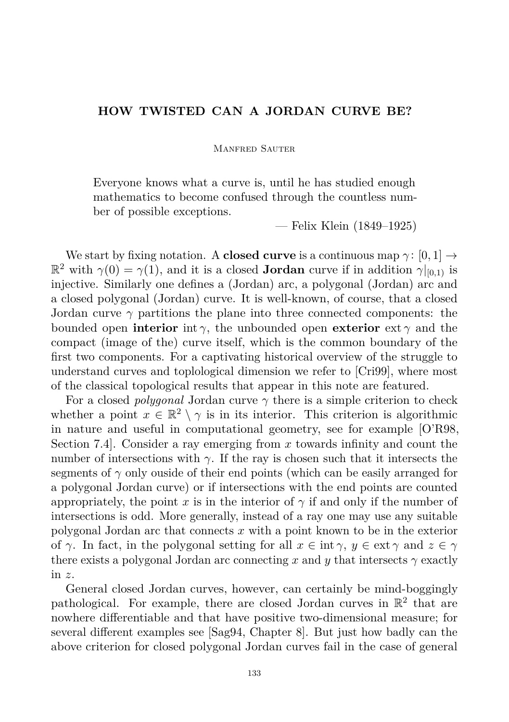## **HOW TWISTED CAN A JORDAN CURVE BE?**

Manfred Sauter

Everyone knows what a curve is, until he has studied enough mathematics to become confused through the countless number of possible exceptions.

— Felix Klein (1849–1925)

We start by fixing notation. A **closed curve** is a continuous map  $\gamma$ : [0, 1]  $\rightarrow$  $\mathbb{R}^2$  with  $\gamma(0) = \gamma(1)$ , and it is a closed **Jordan** curve if in addition  $\gamma|_{[0,1)}$  is injective. Similarly one defines a (Jordan) arc, a polygonal (Jordan) arc and a closed polygonal (Jordan) curve. It is well-known, of course, that a closed Jordan curve  $\gamma$  partitions the plane into three connected components: the bounded open **interior** int  $\gamma$ , the unbounded open **exterior** ext  $\gamma$  and the compact (image of the) curve itself, which is the common boundary of the first two components. For a captivating historical overview of the struggle to understand curves and toplological dimension we refer to [\[Cri99\]](#page-5-0), where most of the classical topological results that appear in this note are featured.

For a closed *polygonal* Jordan curve *γ* there is a simple criterion to check whether a point  $x \in \mathbb{R}^2 \setminus \gamma$  is in its interior. This criterion is algorithmic in nature and useful in computational geometry, see for example [\[O'R98,](#page-6-0) Section 7.4]. Consider a ray emerging from *x* towards infinity and count the number of intersections with  $\gamma$ . If the ray is chosen such that it intersects the segments of  $\gamma$  only ouside of their end points (which can be easily arranged for a polygonal Jordan curve) or if intersections with the end points are counted appropriately, the point *x* is in the interior of  $\gamma$  if and only if the number of intersections is odd. More generally, instead of a ray one may use any suitable polygonal Jordan arc that connects *x* with a point known to be in the exterior of  $\gamma$ . In fact, in the polygonal setting for all  $x \in \text{int } \gamma$ ,  $y \in \text{ext } \gamma$  and  $z \in \gamma$ there exists a polygonal Jordan arc connecting x and y that intersects  $\gamma$  exactly in *z*.

General closed Jordan curves, however, can certainly be mind-boggingly pathological. For example, there are closed Jordan curves in  $\mathbb{R}^2$  that are nowhere differentiable and that have positive two-dimensional measure; for several different examples see [\[Sag94,](#page-6-1) Chapter 8]. But just how badly can the above criterion for closed polygonal Jordan curves fail in the case of general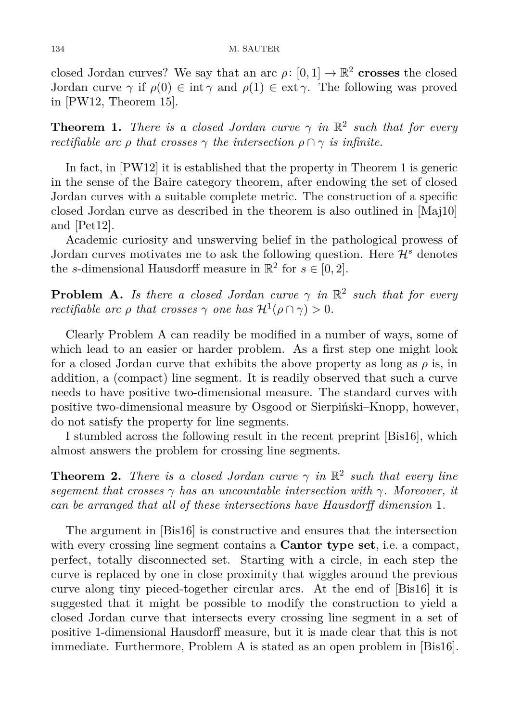closed Jordan curves? We say that an arc  $\rho: [0,1] \to \mathbb{R}^2$  crosses the closed Jordan curve  $\gamma$  if  $\rho(0) \in \text{int } \gamma$  and  $\rho(1) \in \text{ext } \gamma$ . The following was proved in [\[PW12,](#page-6-2) Theorem 15].

<span id="page-1-0"></span>**Theorem 1.** *There is a closed Jordan curve*  $\gamma$  *in*  $\mathbb{R}^2$  *such that for every rectifiable arc ρ that crosses*  $\gamma$  *the intersection*  $\rho \cap \gamma$  *is infinite.* 

In fact, in [\[PW12\]](#page-6-2) it is established that the property in Theorem [1](#page-1-0) is generic in the sense of the Baire category theorem, after endowing the set of closed Jordan curves with a suitable complete metric. The construction of a specific closed Jordan curve as described in the theorem is also outlined in [\[Maj10\]](#page-5-1) and [\[Pet12\]](#page-6-3).

Academic curiosity and unswerving belief in the pathological prowess of Jordan curves motivates me to ask the following question. Here  $\mathcal{H}^s$  denotes the *s*-dimensional Hausdorff measure in  $\mathbb{R}^2$  for  $s \in [0, 2]$ .

**Problem A.** *Is there a closed Jordan curve*  $\gamma$  *in*  $\mathbb{R}^2$  *such that for every rectifiable arc*  $\rho$  *that crosses*  $\gamma$  *one has*  $\mathcal{H}^1(\rho \cap \gamma) > 0$ *.* 

Clearly Problem A can readily be modified in a number of ways, some of which lead to an easier or harder problem. As a first step one might look for a closed Jordan curve that exhibits the above property as long as  $\rho$  is, in addition, a (compact) line segment. It is readily observed that such a curve needs to have positive two-dimensional measure. The standard curves with positive two-dimensional measure by Osgood or Sierpiński–Knopp, however, do not satisfy the property for line segments.

I stumbled across the following result in the recent preprint [\[Bis16\]](#page-5-2), which almost answers the problem for crossing line segments.

<span id="page-1-1"></span>**Theorem 2.** *There is a closed Jordan curve*  $\gamma$  *in*  $\mathbb{R}^2$  *such that every line segement that crosses γ has an uncountable intersection with γ. Moreover, it can be arranged that all of these intersections have Hausdorff dimension* 1*.*

The argument in [\[Bis16\]](#page-5-2) is constructive and ensures that the intersection with every crossing line segment contains a **Cantor type set**, i.e. a compact, perfect, totally disconnected set. Starting with a circle, in each step the curve is replaced by one in close proximity that wiggles around the previous curve along tiny pieced-together circular arcs. At the end of [\[Bis16\]](#page-5-2) it is suggested that it might be possible to modify the construction to yield a closed Jordan curve that intersects every crossing line segment in a set of positive 1-dimensional Hausdorff measure, but it is made clear that this is not immediate. Furthermore, Problem A is stated as an open problem in [\[Bis16\]](#page-5-2).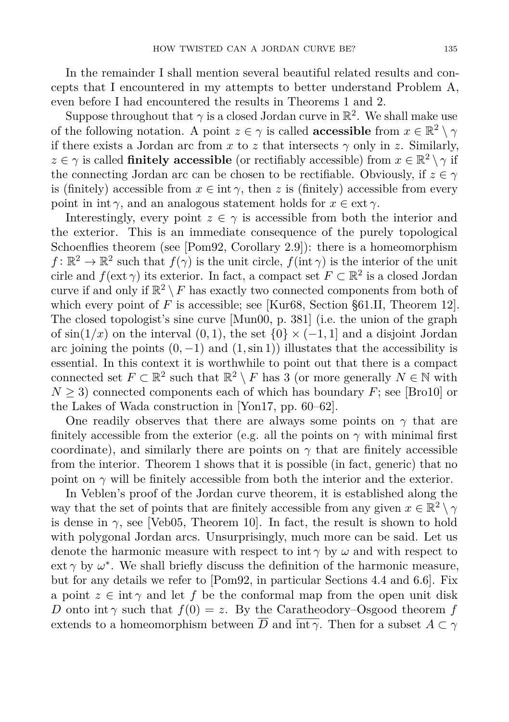In the remainder I shall mention several beautiful related results and concepts that I encountered in my attempts to better understand Problem A, even before I had encountered the results in Theorems [1](#page-1-0) and [2.](#page-1-1)

Suppose throughout that  $\gamma$  is a closed Jordan curve in  $\mathbb{R}^2$ . We shall make use of the following notation. A point  $z \in \gamma$  is called **accessible** from  $x \in \mathbb{R}^2 \setminus \gamma$ if there exists a Jordan arc from  $x$  to  $z$  that intersects  $\gamma$  only in  $z$ . Similarly,  $z \in \gamma$  is called **finitely accessible** (or rectifiably accessible) from  $x \in \mathbb{R}^2 \setminus \gamma$  if the connecting Jordan arc can be chosen to be rectifiable. Obviously, if  $z \in \gamma$ is (finitely) accessible from  $x \in \text{int } \gamma$ , then *z* is (finitely) accessible from every point in int  $\gamma$ , and an analogous statement holds for  $x \in \text{ext } \gamma$ .

Interestingly, every point  $z \in \gamma$  is accessible from both the interior and the exterior. This is an immediate consequence of the purely topological Schoenflies theorem (see [\[Pom92,](#page-6-4) Corollary 2.9]): there is a homeomorphism  $f: \mathbb{R}^2 \to \mathbb{R}^2$  such that  $f(\gamma)$  is the unit circle,  $f(int \gamma)$  is the interior of the unit cirle and  $f(\text{ext }\gamma)$  its exterior. In fact, a compact set  $F \subset \mathbb{R}^2$  is a closed Jordan curve if and only if  $\mathbb{R}^2 \setminus F$  has exactly two connected components from both of which every point of  $F$  is accessible; see [\[Kur68,](#page-5-3) Section §61.II, Theorem 12]. The closed topologist's sine curve [\[Mun00,](#page-6-5) p. 381] (i.e. the union of the graph of  $\sin(1/x)$  on the interval  $(0,1)$ , the set  $\{0\} \times (-1,1]$  and a disjoint Jordan arc joining the points  $(0, -1)$  and  $(1, \sin 1)$ ) illustates that the accessibility is essential. In this context it is worthwhile to point out that there is a compact connected set  $F \subset \mathbb{R}^2$  such that  $\mathbb{R}^2 \setminus F$  has 3 (or more generally  $N \in \mathbb{N}$  with  $N \geq 3$  connected components each of which has boundary *F*; see [\[Bro10\]](#page-5-4) or the Lakes of Wada construction in [\[Yon17,](#page-6-6) pp. 60–62].

One readily observes that there are always some points on  $\gamma$  that are finitely accessible from the exterior (e.g. all the points on  $\gamma$  with minimal first coordinate), and similarly there are points on  $\gamma$  that are finitely accessible from the interior. Theorem [1](#page-1-0) shows that it is possible (in fact, generic) that no point on  $\gamma$  will be finitely accessible from both the interior and the exterior.

In Veblen's proof of the Jordan curve theorem, it is established along the way that the set of points that are finitely accessible from any given  $x \in \mathbb{R}^2 \setminus \gamma$ is dense in  $\gamma$ , see [\[Veb05,](#page-6-7) Theorem 10]. In fact, the result is shown to hold with polygonal Jordan arcs. Unsurprisingly, much more can be said. Let us denote the harmonic measure with respect to int *γ* by *ω* and with respect to ext  $\gamma$  by  $\omega^*$ . We shall briefly discuss the definition of the harmonic measure, but for any details we refer to [\[Pom92,](#page-6-4) in particular Sections 4.4 and 6.6]. Fix a point  $z \in \text{int } \gamma$  and let f be the conformal map from the open unit disk *D* onto int *γ* such that  $f(0) = z$ . By the Caratheodory–Osgood theorem *f* extends to a homeomorphism between  $\overline{D}$  and  $\overline{\text{int }\gamma}$ . Then for a subset  $A \subset \gamma$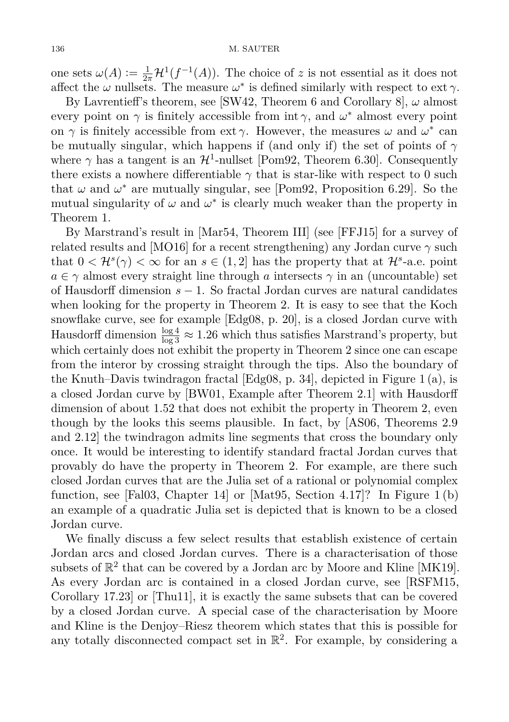one sets  $\omega(A) := \frac{1}{2\pi} \mathcal{H}^1(f^{-1}(A))$ . The choice of *z* is not essential as it does not affect the  $\omega$  nullsets. The measure  $\omega^*$  is defined similarly with respect to ext  $\gamma$ .

By Lavrentieff's theorem, see [\[SW42,](#page-6-8) Theorem 6 and Corollary 8], *ω* almost every point on  $\gamma$  is finitely accessible from int  $\gamma$ , and  $\omega^*$  almost every point on  $\gamma$  is finitely accessible from ext  $\gamma$ . However, the measures  $\omega$  and  $\omega^*$  can be mutually singular, which happens if (and only if) the set of points of  $\gamma$ where  $\gamma$  has a tangent is an  $\mathcal{H}^1$ -nullset [\[Pom92,](#page-6-4) Theorem 6.30]. Consequently there exists a nowhere differentiable  $\gamma$  that is star-like with respect to 0 such that  $\omega$  and  $\omega^*$  are mutually singular, see [\[Pom92,](#page-6-4) Proposition 6.29]. So the mutual singularity of  $\omega$  and  $\omega^*$  is clearly much weaker than the property in Theorem [1.](#page-1-0)

By Marstrand's result in [\[Mar54,](#page-5-5) Theorem III] (see [\[FFJ15\]](#page-5-6) for a survey of related results and [\[MO16\]](#page-5-7) for a recent strengthening) any Jordan curve  $\gamma$  such that  $0 < H<sup>s</sup>(\gamma) < \infty$  for an  $s \in (1, 2]$  has the property that at  $H<sup>s</sup>$ -a.e. point  $a \in \gamma$  almost every straight line through *a* intersects  $\gamma$  in an (uncountable) set of Hausdorff dimension *s* − 1. So fractal Jordan curves are natural candidates when looking for the property in Theorem [2.](#page-1-1) It is easy to see that the Koch snowflake curve, see for example [\[Edg08,](#page-5-8) p. 20], is a closed Jordan curve with Hausdorff dimension  $\frac{\log 4}{\log 3} \approx 1.26$  which thus satisfies Marstrand's property, but which certainly does not exhibit the property in Theorem [2](#page-1-1) since one can escape from the interor by crossing straight through the tips. Also the boundary of the Knuth–Davis twindragon fractal [\[Edg08,](#page-5-8) p. 34], depicted in Figure [1 \(a\),](#page-4-0) is a closed Jordan curve by [\[BW01,](#page-5-9) Example after Theorem 2.1] with Hausdorff dimension of about 1*.*52 that does not exhibit the property in Theorem [2,](#page-1-1) even though by the looks this seems plausible. In fact, by [\[AS06,](#page-5-10) Theorems 2.9 and 2.12] the twindragon admits line segments that cross the boundary only once. It would be interesting to identify standard fractal Jordan curves that provably do have the property in Theorem [2.](#page-1-1) For example, are there such closed Jordan curves that are the Julia set of a rational or polynomial complex function, see [\[Fal03,](#page-5-11) Chapter 14] or [\[Mat95,](#page-5-12) Section 4.17]? In Figure [1 \(b\)](#page-4-0) an example of a quadratic Julia set is depicted that is known to be a closed Jordan curve.

We finally discuss a few select results that establish existence of certain Jordan arcs and closed Jordan curves. There is a characterisation of those subsets of  $\mathbb{R}^2$  that can be covered by a Jordan arc by Moore and Kline [\[MK19\]](#page-5-13). As every Jordan arc is contained in a closed Jordan curve, see [\[RSFM15,](#page-6-9) Corollary 17.23] or [\[Thu11\]](#page-6-10), it is exactly the same subsets that can be covered by a closed Jordan curve. A special case of the characterisation by Moore and Kline is the Denjoy–Riesz theorem which states that this is possible for any totally disconnected compact set in  $\mathbb{R}^2$ . For example, by considering a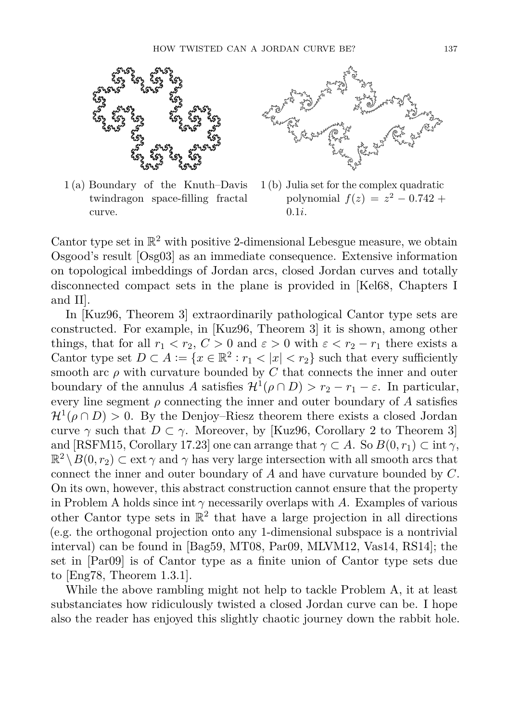<span id="page-4-0"></span>

1 (a) Boundary of the Knuth–Davis twindragon space-filling fractal curve.



1 (b) Julia set for the complex quadratic  $polynomial f(z) = z^2 - 0.742 +$ 0*.*1*i*.

Cantor type set in  $\mathbb{R}^2$  with positive 2-dimensional Lebesgue measure, we obtain Osgood's result [\[Osg03\]](#page-6-11) as an immediate consequence. Extensive information on topological imbeddings of Jordan arcs, closed Jordan curves and totally disconnected compact sets in the plane is provided in [\[Kel68,](#page-5-14) Chapters I and II].

In [\[Kuz96,](#page-5-15) Theorem 3] extraordinarily pathological Cantor type sets are constructed. For example, in [\[Kuz96,](#page-5-15) Theorem 3] it is shown, among other things, that for all  $r_1 < r_2$ ,  $C > 0$  and  $\varepsilon > 0$  with  $\varepsilon < r_2 - r_1$  there exists a Cantor type set  $D \subset A := \{x \in \mathbb{R}^2 : r_1 < |x| < r_2\}$  such that every sufficiently smooth arc  $\rho$  with curvature bounded by  $C$  that connects the inner and outer boundary of the annulus *A* satisfies  $\mathcal{H}^1(\rho \cap D) > r_2 - r_1 - \varepsilon$ . In particular, every line segment  $\rho$  connecting the inner and outer boundary of  $A$  satisfies  $\mathcal{H}^1(\rho \cap D) > 0$ . By the Denjoy–Riesz theorem there exists a closed Jordan curve  $\gamma$  such that  $D \subset \gamma$ . Moreover, by [\[Kuz96,](#page-5-15) Corollary 2 to Theorem 3] and [\[RSFM15,](#page-6-9) Corollary 17.23] one can arrange that  $\gamma \subset A$ . So  $B(0,r_1) \subset \text{int } \gamma$ ,  $\mathbb{R}^2 \setminus B(0,r_2) \subset \text{ext } \gamma$  and  $\gamma$  has very large intersection with all smooth arcs that connect the inner and outer boundary of *A* and have curvature bounded by *C*. On its own, however, this abstract construction cannot ensure that the property in Problem A holds since int  $\gamma$  necessarily overlaps with A. Examples of various other Cantor type sets in  $\mathbb{R}^2$  that have a large projection in all directions (e.g. the orthogonal projection onto any 1-dimensional subspace is a nontrivial interval) can be found in [\[Bag59,](#page-5-16) [MT08,](#page-5-17) [Par09,](#page-6-12) [MLVM12,](#page-5-18) [Vas14,](#page-6-13) [RS14\]](#page-6-14); the set in [\[Par09\]](#page-6-12) is of Cantor type as a finite union of Cantor type sets due to [\[Eng78,](#page-5-19) Theorem 1.3.1].

While the above rambling might not help to tackle Problem A, it at least substanciates how ridiculously twisted a closed Jordan curve can be. I hope also the reader has enjoyed this slightly chaotic journey down the rabbit hole.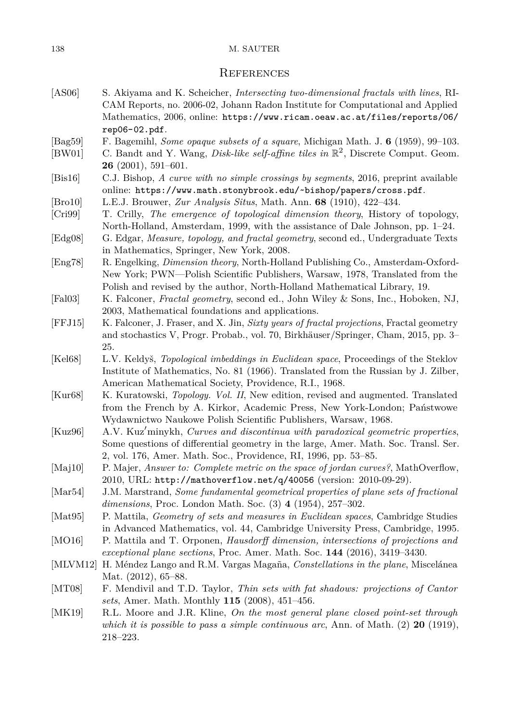## 138 M. SAUTER

## **REFERENCES**

- <span id="page-5-10"></span>[AS06] S. Akiyama and K. Scheicher, *Intersecting two-dimensional fractals with lines*, RI-CAM Reports, no. 2006-02, Johann Radon Institute for Computational and Applied Mathematics, 2006, online: [https://www.ricam.oeaw.ac.at/files/reports/06/](https://www.ricam.oeaw.ac.at/files/reports/06/rep06-02.pdf) [rep06-02.pdf](https://www.ricam.oeaw.ac.at/files/reports/06/rep06-02.pdf).
- <span id="page-5-16"></span>[Bag59] F. Bagemihl, *Some opaque subsets of a square*, Michigan Math. J. **6** (1959), 99–103.
- <span id="page-5-9"></span>[BW01] C. Bandt and Y. Wang, *Disk-like self-affine tiles in* R 2 , Discrete Comput. Geom. **26** (2001), 591–601.
- <span id="page-5-2"></span>[Bis16] C.J. Bishop, *A curve with no simple crossings by segments*, 2016, preprint available online: <https://www.math.stonybrook.edu/~bishop/papers/cross.pdf>.
- <span id="page-5-4"></span>[Bro10] L.E.J. Brouwer, *Zur Analysis Situs*, Math. Ann. **68** (1910), 422–434.
- <span id="page-5-0"></span>[Cri99] T. Crilly, *The emergence of topological dimension theory*, History of topology, North-Holland, Amsterdam, 1999, with the assistance of Dale Johnson, pp. 1–24.
- <span id="page-5-8"></span>[Edg08] G. Edgar, *Measure, topology, and fractal geometry*, second ed., Undergraduate Texts in Mathematics, Springer, New York, 2008.
- <span id="page-5-19"></span>[Eng78] R. Engelking, *Dimension theory*, North-Holland Publishing Co., Amsterdam-Oxford-New York; PWN—Polish Scientific Publishers, Warsaw, 1978, Translated from the Polish and revised by the author, North-Holland Mathematical Library, 19.
- <span id="page-5-11"></span>[Fal03] K. Falconer, *Fractal geometry*, second ed., John Wiley & Sons, Inc., Hoboken, NJ, 2003, Mathematical foundations and applications.
- <span id="page-5-6"></span>[FFJ15] K. Falconer, J. Fraser, and X. Jin, *Sixty years of fractal projections*, Fractal geometry and stochastics V, Progr. Probab., vol. 70, Birkhäuser/Springer, Cham, 2015, pp. 3– 25.
- <span id="page-5-14"></span>[Kel68] L.V. Keldyš, *Topological imbeddings in Euclidean space*, Proceedings of the Steklov Institute of Mathematics, No. 81 (1966). Translated from the Russian by J. Zilber, American Mathematical Society, Providence, R.I., 1968.
- <span id="page-5-3"></span>[Kur68] K. Kuratowski, *Topology. Vol. II*, New edition, revised and augmented. Translated from the French by A. Kirkor, Academic Press, New York-London; Państwowe Wydawnictwo Naukowe Polish Scientific Publishers, Warsaw, 1968.
- <span id="page-5-15"></span>[Kuz96] A.V. Kuz'minykh, *Curves and discontinua with paradoxical geometric properties*, Some questions of differential geometry in the large, Amer. Math. Soc. Transl. Ser. 2, vol. 176, Amer. Math. Soc., Providence, RI, 1996, pp. 53–85.
- <span id="page-5-1"></span>[Maj10] P. Majer, *Answer to: Complete metric on the space of jordan curves?*, MathOverflow, 2010, URL: <http://mathoverflow.net/q/40056> (version: 2010-09-29).
- <span id="page-5-5"></span>[Mar54] J.M. Marstrand, *Some fundamental geometrical properties of plane sets of fractional dimensions*, Proc. London Math. Soc. (3) **4** (1954), 257–302.

<span id="page-5-12"></span>[Mat95] P. Mattila, *Geometry of sets and measures in Euclidean spaces*, Cambridge Studies in Advanced Mathematics, vol. 44, Cambridge University Press, Cambridge, 1995.

- <span id="page-5-7"></span>[MO16] P. Mattila and T. Orponen, *Hausdorff dimension, intersections of projections and exceptional plane sections*, Proc. Amer. Math. Soc. **144** (2016), 3419–3430.
- <span id="page-5-18"></span>[MLVM12] H. Méndez Lango and R.M. Vargas Magaña, *Constellations in the plane*, Miscelánea Mat. (2012), 65–88.
- <span id="page-5-17"></span>[MT08] F. Mendivil and T.D. Taylor, *Thin sets with fat shadows: projections of Cantor sets*, Amer. Math. Monthly **115** (2008), 451–456.
- <span id="page-5-13"></span>[MK19] R.L. Moore and J.R. Kline, *On the most general plane closed point-set through which it is possible to pass a simple continuous arc*, Ann. of Math. (2) **20** (1919), 218–223.